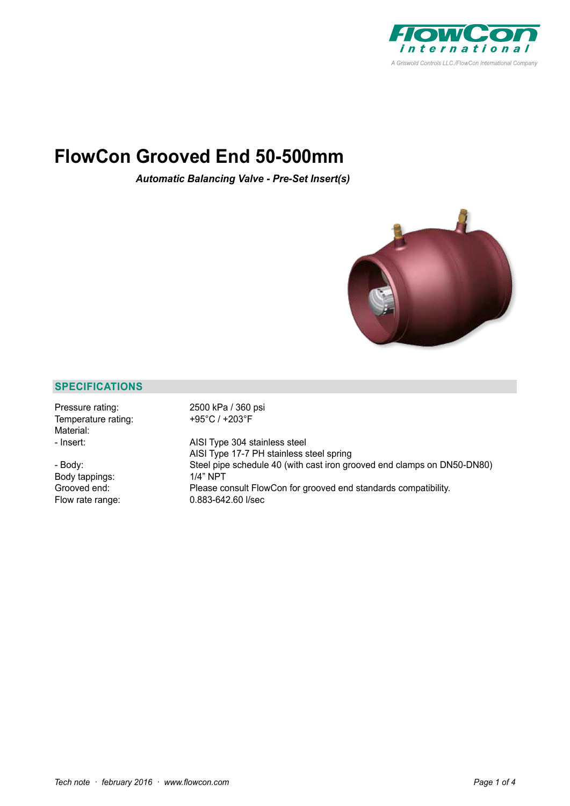

# **FlowCon Grooved End 50-500mm**

*Automatic Balancing Valve - Pre-Set Insert(s)*



# **SPECIFICATIONS**

| Pressure rating:<br>Temperature rating:<br>Material: | 2500 kPa / 360 psi<br>+95°C / +203°F                                          |
|------------------------------------------------------|-------------------------------------------------------------------------------|
| - Insert:                                            | AISI Type 304 stainless steel<br>AISI Type 17-7 PH stainless steel spring     |
| - Body:                                              | Steel pipe schedule 40 (with cast iron grooved end clamps on DN50-DN80)       |
| Body tappings:<br>Grooved end:                       | $1/4"$ NPT<br>Please consult FlowCon for grooved end standards compatibility. |
| Flow rate range:                                     | $0.883 - 642.60$ I/sec                                                        |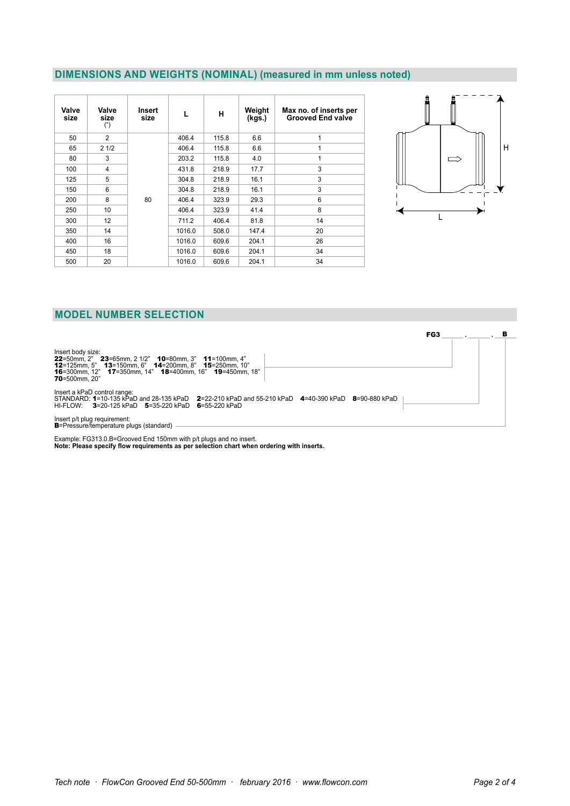### **DIMENSIONS AND WEIGHTS (NOMINAL) (measured in mm unless noted)**

| Valve<br>size | Valve<br>size<br>$($ ") | Insert<br>size | L      | н     | Weight<br>(kgs.) | Max no. of inserts per<br><b>Grooved End valve</b> |
|---------------|-------------------------|----------------|--------|-------|------------------|----------------------------------------------------|
| 50            | $\mathfrak{p}$          |                | 406.4  | 115.8 | 6.6              | $\mathbf{1}$                                       |
| 65            | 21/2                    |                | 406.4  | 115.8 | 6.6              | 1                                                  |
| 80            | 3                       |                | 203.2  | 115.8 | 4.0              | $\mathbf{1}$                                       |
| 100           | $\overline{4}$          |                | 431.8  | 218.9 | 17.7             | 3                                                  |
| 125           | 5                       |                | 304.8  | 218.9 | 16.1             | 3                                                  |
| 150           | 6                       |                | 304.8  | 218.9 | 16.1             | 3                                                  |
| 200           | 8                       | 80             | 406.4  | 323.9 | 29.3             | 6                                                  |
| 250           | 10                      |                | 406.4  | 323.9 | 41.4             | 8                                                  |
| 300           | 12                      |                | 711.2  | 406.4 | 81.8             | 14                                                 |
| 350           | 14                      |                | 1016.0 | 508.0 | 147.4            | 20                                                 |
| 400           | 16                      |                | 1016.0 | 609.6 | 204.1            | 26                                                 |
| 450           | 18                      |                | 1016.0 | 609.6 | 204.1            | 34                                                 |
| 500           | 20                      |                | 1016.0 | 609.6 | 204.1            | 34                                                 |



# **MODEL NUMBER SELECTION**

Insert body size:<br>**22**=50mm, 2" **23**=65mm, 2 1/2" **10**=80mm, 3" **11**=100mm, 4"<br>**12**=125mm, 12" **13**=150mm, 6" **14**=200mm, 8" **15**=250mm, 10"<br>**16**=300mm, 20" 17=350mm, 14" 1**8**=400mm, 16" **19**=450mm, 18"<br> Insert a kPaD control range:<br>STANDARD: 1=10-135 kPaD and 28-135 kPaD **2**=22-210 kPaD and 55-210 kPaD **4**=40-390 kPaD **8**=90-880 kPaD<br>HI-FLOW: **3**=20-125 kPaD **5**=35-220 kPaD **6**=55-220 kPaD Insert p/t plug requirement: B=Pressure/temperature plugs (standard) FG3 **\_\_\_\_\_\_ . \_\_\_\_\_\_ . \_\_\_\_\_\_** B

Example: FG313.0.B=Grooved End 150mm with p/t plugs and no insert. **Note: Please specify flow requirements as per selection chart when ordering with inserts.**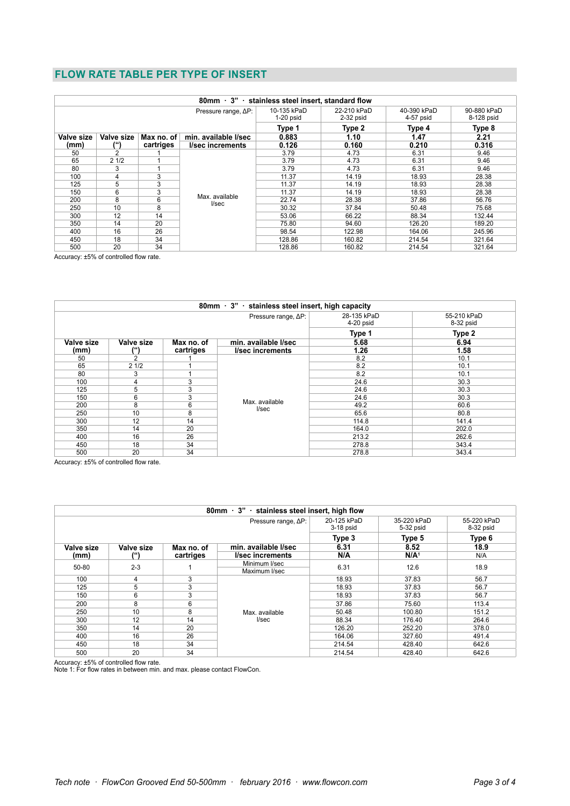# **FLOW RATE TABLE PER TYPE OF INSERT**

| 80mm 3" stainless steel insert, standard flow                  |                |           |                            |                            |                            |                           |        |
|----------------------------------------------------------------|----------------|-----------|----------------------------|----------------------------|----------------------------|---------------------------|--------|
| Pressure range, $\Delta P$ :                                   |                |           | 10-135 kPaD<br>$1-20$ psid | 22-210 kPaD<br>$2-32$ psid | 40-390 kPaD<br>$4-57$ psid | 90-880 kPaD<br>8-128 psid |        |
|                                                                |                |           | Type 1                     | Type 2                     | Type 4                     | Type 8                    |        |
| Valve size<br>min. available l/sec<br>Valve size<br>Max no. of |                |           | 0.883                      | 1.10                       | 1.47                       | 2.21                      |        |
| (mm)                                                           | (")            | cartriges | <b>I/sec increments</b>    | 0.126                      | 0.160                      | 0.210                     | 0.316  |
| 50                                                             | $\mathfrak{p}$ |           |                            | 3.79                       | 4.73                       | 6.31                      | 9.46   |
| 65                                                             | 21/2           |           |                            | 3.79                       | 4.73                       | 6.31                      | 9.46   |
| 80                                                             | 3              |           |                            | 3.79                       | 4.73                       | 6.31                      | 9.46   |
| 100                                                            | 4              | 3         |                            | 11.37                      | 14.19                      | 18.93                     | 28.38  |
| 125                                                            | 5              | 3         |                            | 11.37                      | 14.19                      | 18.93                     | 28.38  |
| 150                                                            | 6              | 3         |                            | 11.37                      | 14.19                      | 18.93                     | 28.38  |
| 200                                                            | 8              | 6         | Max. available<br>I/sec    | 22.74                      | 28.38                      | 37.86                     | 56.76  |
| 250                                                            | 10             | 8         |                            | 30.32                      | 37.84                      | 50.48                     | 75.68  |
| 300                                                            | 12             | 14        |                            | 53.06                      | 66.22                      | 88.34                     | 132.44 |
| 350                                                            | 14             | 20        |                            | 75.80                      | 94.60                      | 126.20                    | 189.20 |
| 400                                                            | 16             | 26        |                            | 98.54                      | 122.98                     | 164.06                    | 245.96 |
| 450                                                            | 18             | 34        |                            | 128.86                     | 160.82                     | 214.54                    | 321.64 |
| 500                                                            | 20             | 34        |                            | 128.86                     | 160.82                     | 214.54                    | 321.64 |

Accuracy: ±5% of controlled flow rate.

| 80mm · 3" · stainless steel insert, high capacity |               |            |                            |                          |        |  |  |
|---------------------------------------------------|---------------|------------|----------------------------|--------------------------|--------|--|--|
|                                                   |               |            | 28-135 kPaD<br>$4-20$ psid | 55-210 kPaD<br>8-32 psid |        |  |  |
|                                                   |               |            |                            | Type 1                   | Type 2 |  |  |
| <b>Valve size</b>                                 | Valve size    | Max no. of | min. available l/sec       | 5.68                     | 6.94   |  |  |
| (mm)                                              |               | cartriges  | I/sec increments           | 1.26                     | 1.58   |  |  |
| 50                                                | $\mathcal{P}$ |            |                            | 8.2                      | 10.1   |  |  |
| 65                                                | 21/2          |            |                            | 8.2                      | 10.1   |  |  |
| 80                                                | 3             |            |                            | 8.2                      | 10.1   |  |  |
| 100                                               | 4             | 3          |                            | 24.6                     | 30.3   |  |  |
| 125                                               | 5             | 3          |                            | 24.6                     | 30.3   |  |  |
| 150                                               | 6             | 3          |                            | 24.6                     | 30.3   |  |  |
| 200                                               | 8             | 6          | Max. available<br>I/sec    | 49.2                     | 60.6   |  |  |
| 250                                               | 10            | 8          |                            | 65.6                     | 80.8   |  |  |
| 300                                               | 12            | 14         |                            | 114.8                    | 141.4  |  |  |
| 350                                               | 14            | 20         |                            | 164.0                    | 202.0  |  |  |
| 400                                               | 16            | 26         |                            | 213.2                    | 262.6  |  |  |
| 450                                               | 18            | 34         |                            | 278.8                    | 343.4  |  |  |
| 500                                               | 20            | 34         |                            | 278.8                    | 343.4  |  |  |

Accuracy: ±5% of controlled flow rate.

| 80mm · 3" · stainless steel insert, high flow |                  |            |                            |                          |                          |       |
|-----------------------------------------------|------------------|------------|----------------------------|--------------------------|--------------------------|-------|
|                                               |                  |            | 20-125 kPaD<br>$3-18$ psid | 35-220 kPaD<br>5-32 psid | 55-220 kPaD<br>8-32 psid |       |
|                                               |                  |            | Type 3                     | Type 5                   | Type 6                   |       |
| Valve size                                    | Valve size       | Max no. of | min. available l/sec       | 6.31                     | 8.52                     | 18.9  |
| (mm)                                          | (")              | cartriges  | <i>l/sec increments</i>    | N/A                      | N/A <sup>1</sup>         | N/A   |
|                                               | $2 - 3$<br>50-80 |            | Minimum I/sec              | 6.31                     | 12.6                     | 18.9  |
|                                               |                  |            | Maximum I/sec              |                          |                          |       |
| 100                                           | 4                | 3          |                            | 18.93                    | 37.83                    | 56.7  |
| 125                                           | 5                | 3          |                            | 18.93                    | 37.83                    | 56.7  |
| 150                                           | 6                | 3          | Max. available<br>I/sec    | 18.93                    | 37.83                    | 56.7  |
| 200                                           | 8                | 6          |                            | 37.86                    | 75.60                    | 113.4 |
| 250                                           | 10               | 8          |                            | 50.48                    | 100.80                   | 151.2 |
| 300                                           | 12               | 14         |                            | 88.34                    | 176.40                   | 264.6 |
| 350                                           | 14               | 20         |                            | 126.20                   | 252.20                   | 378.0 |
| 400                                           | 16               | 26         |                            | 164.06                   | 327.60                   | 491.4 |
| 450                                           | 18               | 34         |                            | 214.54                   | 428.40                   | 642.6 |
| 500                                           | 20               | 34         |                            | 214.54                   | 428.40                   | 642.6 |

Accuracy: ±5% of controlled flow rate. Note 1: For flow rates in between min. and max. please contact FlowCon.